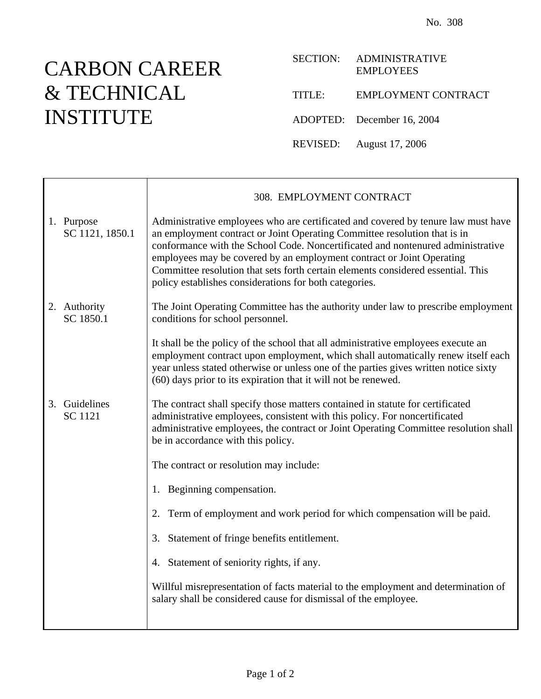## CARBON CAREER & TECHNICAL INSTITUTE

'n

| <b>SECTION:</b> | <b>ADMINISTRATIVE</b><br><b>EMPLOYEES</b> |
|-----------------|-------------------------------------------|
| TITLE:          | <b>EMPLOYMENT CONTRACT</b>                |
|                 | ADOPTED: December 16, 2004                |
|                 | REVISED: August 17, 2006                  |

|                                 | 308. EMPLOYMENT CONTRACT                                                                                                                                                                                                                                                                                                                                                                                                                                                 |
|---------------------------------|--------------------------------------------------------------------------------------------------------------------------------------------------------------------------------------------------------------------------------------------------------------------------------------------------------------------------------------------------------------------------------------------------------------------------------------------------------------------------|
| 1. Purpose<br>SC 1121, 1850.1   | Administrative employees who are certificated and covered by tenure law must have<br>an employment contract or Joint Operating Committee resolution that is in<br>conformance with the School Code. Noncertificated and nontenured administrative<br>employees may be covered by an employment contract or Joint Operating<br>Committee resolution that sets forth certain elements considered essential. This<br>policy establishes considerations for both categories. |
| 2. Authority<br>SC 1850.1       | The Joint Operating Committee has the authority under law to prescribe employment<br>conditions for school personnel.                                                                                                                                                                                                                                                                                                                                                    |
|                                 | It shall be the policy of the school that all administrative employees execute an<br>employment contract upon employment, which shall automatically renew itself each<br>year unless stated otherwise or unless one of the parties gives written notice sixty<br>(60) days prior to its expiration that it will not be renewed.                                                                                                                                          |
| 3. Guidelines<br><b>SC</b> 1121 | The contract shall specify those matters contained in statute for certificated<br>administrative employees, consistent with this policy. For noncertificated<br>administrative employees, the contract or Joint Operating Committee resolution shall<br>be in accordance with this policy.                                                                                                                                                                               |
|                                 | The contract or resolution may include:                                                                                                                                                                                                                                                                                                                                                                                                                                  |
|                                 | 1. Beginning compensation.                                                                                                                                                                                                                                                                                                                                                                                                                                               |
|                                 | Term of employment and work period for which compensation will be paid.<br>2.                                                                                                                                                                                                                                                                                                                                                                                            |
|                                 | 3. Statement of fringe benefits entitlement.                                                                                                                                                                                                                                                                                                                                                                                                                             |
|                                 | 4. Statement of seniority rights, if any.                                                                                                                                                                                                                                                                                                                                                                                                                                |
|                                 | Willful misrepresentation of facts material to the employment and determination of<br>salary shall be considered cause for dismissal of the employee.                                                                                                                                                                                                                                                                                                                    |
|                                 |                                                                                                                                                                                                                                                                                                                                                                                                                                                                          |